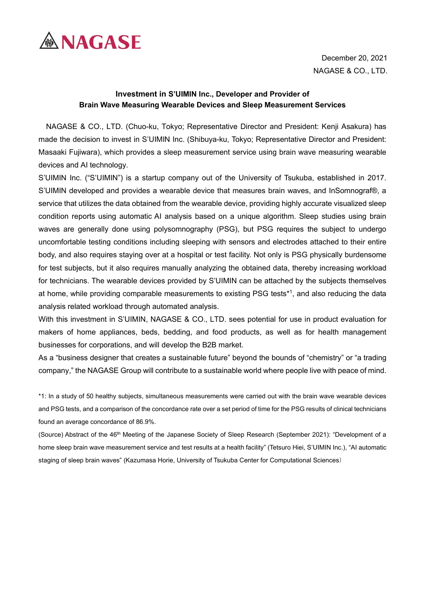

December 20, 2021 NAGASE & CO., LTD.

## **Investment in S'UIMIN Inc., Developer and Provider of Brain Wave Measuring Wearable Devices and Sleep Measurement Services**

NAGASE & CO., LTD. (Chuo-ku, Tokyo; Representative Director and President: Kenji Asakura) has made the decision to invest in S'UIMIN Inc. (Shibuya-ku, Tokyo; Representative Director and President: Masaaki Fujiwara), which provides a sleep measurement service using brain wave measuring wearable devices and AI technology.

S'UIMIN Inc. ("S'UIMIN") is a startup company out of the University of Tsukuba, established in 2017. S'UIMIN developed and provides a wearable device that measures brain waves, and InSomnograf®, a service that utilizes the data obtained from the wearable device, providing highly accurate visualized sleep condition reports using automatic AI analysis based on a unique algorithm. Sleep studies using brain waves are generally done using polysomnography (PSG), but PSG requires the subject to undergo uncomfortable testing conditions including sleeping with sensors and electrodes attached to their entire body, and also requires staying over at a hospital or test facility. Not only is PSG physically burdensome for test subjects, but it also requires manually analyzing the obtained data, thereby increasing workload for technicians. The wearable devices provided by S'UIMIN can be attached by the subjects themselves at home, while providing comparable measurements to existing PSG tests\*1, and also reducing the data analysis related workload through automated analysis.

With this investment in S'UIMIN, NAGASE & CO., LTD. sees potential for use in product evaluation for makers of home appliances, beds, bedding, and food products, as well as for health management businesses for corporations, and will develop the B2B market.

As a "business designer that creates a sustainable future" beyond the bounds of "chemistry" or "a trading company," the NAGASE Group will contribute to a sustainable world where people live with peace of mind.

\*1: In a study of 50 healthy subjects, simultaneous measurements were carried out with the brain wave wearable devices and PSG tests, and a comparison of the concordance rate over a set period of time for the PSG results of clinical technicians found an average concordance of 86.9%.

(Source) Abstract of the 46th Meeting of the Japanese Society of Sleep Research (September 2021): "Development of a home sleep brain wave measurement service and test results at a health facility" (Tetsuro Hiei, S'UIMIN Inc.), "AI automatic staging of sleep brain waves" (Kazumasa Horie, University of Tsukuba Center for Computational Sciences)